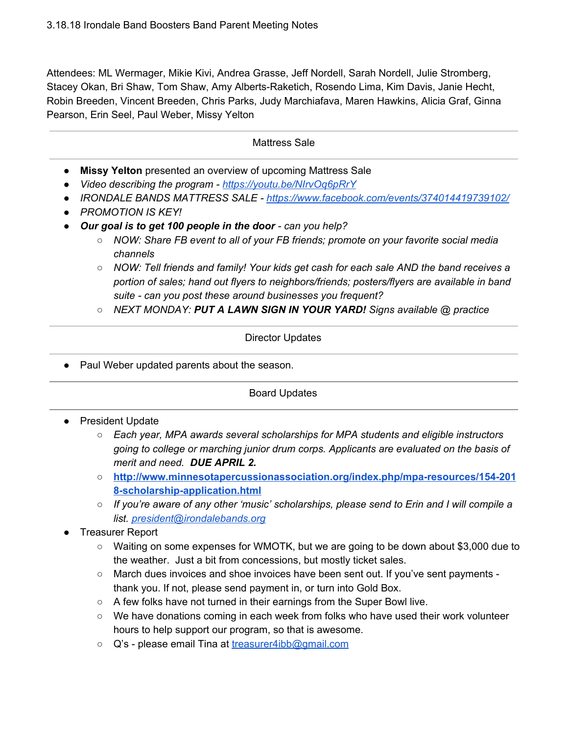Attendees: ML Wermager, Mikie Kivi, Andrea Grasse, Jeff Nordell, Sarah Nordell, Julie Stromberg, Stacey Okan, Bri Shaw, Tom Shaw, Amy Alberts-Raketich, Rosendo Lima, Kim Davis, Janie Hecht, Robin Breeden, Vincent Breeden, Chris Parks, Judy Marchiafava, Maren Hawkins, Alicia Graf, Ginna Pearson, Erin Seel, Paul Weber, Missy Yelton

### Mattress Sale

- **Missy Yelton** presented an overview of upcoming Mattress Sale
- *● Video describing the program - [https://youtu.be/NIrvOq6pRrY](https://eur02.safelinks.protection.outlook.com/?url=https%3A%2F%2Fyoutu.be%2FNIrvOq6pRrY&data=02%7C01%7C%7C392498ee723844a38c9808d58de993d9%7C84df9e7fe9f640afb435aaaaaaaaaaaa%7C1%7C0%7C636570956706440609&sdata=bP7s8eHtzcQuF9iKW5vADVbLqvMmc9UeHAmHFvLm6MA%3D&reserved=0)*
- *● IRONDALE BANDS MATTRESS SALE - <https://www.facebook.com/events/374014419739102/>*
- *● PROMOTION IS KEY!*
- *● Our goal is to get 100 people in the door - can you help?*
	- *○ NOW: Share FB event to all of your FB friends; promote on your favorite social media channels*
	- *○ NOW: Tell friends and family! Your kids get cash for each sale AND the band receives a portion of sales; hand out flyers to neighbors/friends; posters/flyers are available in band suite - can you post these around businesses you frequent?*
	- *○ NEXT MONDAY: PUT A LAWN SIGN IN YOUR YARD! Signs available @ practice*

#### Director Updates

● Paul Weber updated parents about the season.

## Board Updates

- President Update
	- *○ Each year, MPA awards several scholarships for MPA students and eligible instructors going to college or marching junior drum corps. Applicants are evaluated on the basis of merit and need. DUE APRIL 2.*
	- **○ [http://www.minnesotapercussionassociation.org/index.php/mpa-resources/154-201](http://www.minnesotapercussionassociation.org/index.php/mpa-resources/154-2018-scholarship-application.html) [8-scholarship-application.html](http://www.minnesotapercussionassociation.org/index.php/mpa-resources/154-2018-scholarship-application.html)**
	- *○ If you're aware of any other 'music' scholarships, please send to Erin and I will compile a list. [president@irondalebands.org](mailto:president@irondalebands.org)*
- **Treasurer Report** 
	- Waiting on some expenses for WMOTK, but we are going to be down about \$3,000 due to the weather. Just a bit from concessions, but mostly ticket sales.
	- March dues invoices and shoe invoices have been sent out. If you've sent payments thank you. If not, please send payment in, or turn into Gold Box.
	- A few folks have not turned in their earnings from the Super Bowl live.
	- $\circ$  We have donations coming in each week from folks who have used their work volunteer hours to help support our program, so that is awesome.
	- Q's please email Tina at [treasurer4ibb@gmail.com](mailto:treasurer4ibb@gmail.com)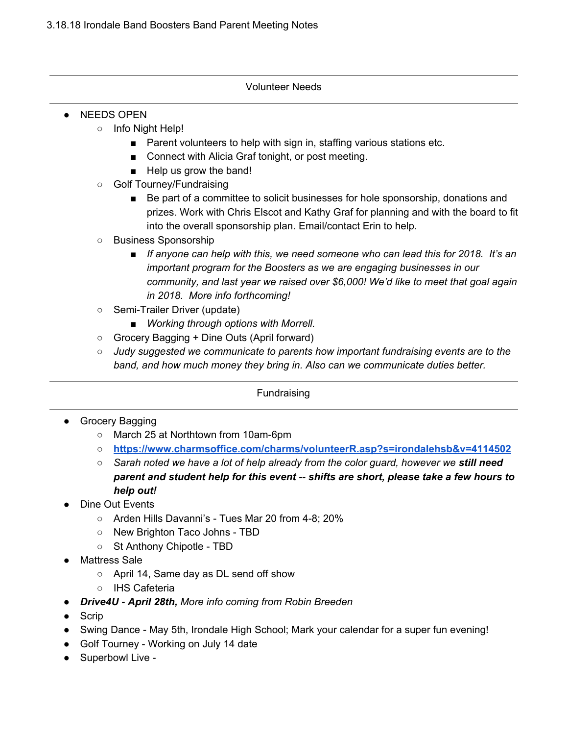## Volunteer Needs

- NEEDS OPEN
	- Info Night Help!
		- Parent volunteers to help with sign in, staffing various stations etc.
		- Connect with Alicia Graf tonight, or post meeting.
		- Help us grow the band!
	- Golf Tourney/Fundraising
		- Be part of a committee to solicit businesses for hole sponsorship, donations and prizes. Work with Chris Elscot and Kathy Graf for planning and with the board to fit into the overall sponsorship plan. Email/contact Erin to help.
	- Business Sponsorship
		- *■ If anyone can help with this, we need someone who can lead this for 2018. It's an important program for the Boosters as we are engaging businesses in our community, and last year we raised over \$6,000! We'd like to meet that goal again in 2018. More info forthcoming!*
	- Semi-Trailer Driver (update)
		- *■ Working through options with Morrell.*
	- Grocery Bagging + Dine Outs (April forward)
	- *○ Judy suggested we communicate to parents how important fundraising events are to the band, and how much money they bring in. Also can we communicate duties better.*

Fundraising

- Grocery Bagging
	- March 25 at Northtown from 10am-6pm
	- **○ <https://www.charmsoffice.com/charms/volunteerR.asp?s=irondalehsb&v=4114502>**
	- *○ Sarah noted we have a lot of help already from the color guard, however we still need parent and student help for this event -- shifts are short, please take a few hours to help out!*
- Dine Out Events
	- Arden Hills Davanni's Tues Mar 20 from 4-8; 20%
	- New Brighton Taco Johns TBD
	- St Anthony Chipotle TBD
- **Mattress Sale** 
	- April 14, Same day as DL send off show
	- IHS Cafeteria
- *● Drive4U - April 28th, More info coming from Robin Breeden*
- Scrip
- Swing Dance May 5th, Irondale High School; Mark your calendar for a super fun evening!
- Golf Tourney Working on July 14 date
- Superbowl Live -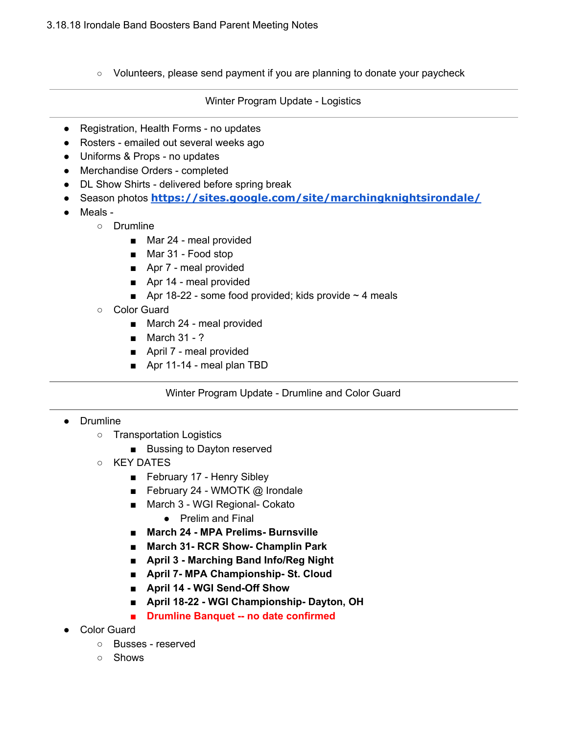○ Volunteers, please send payment if you are planning to donate your paycheck

Winter Program Update - Logistics

- Registration, Health Forms no updates
- Rosters emailed out several weeks ago
- Uniforms & Props no updates
- Merchandise Orders completed
- DL Show Shirts delivered before spring break
- Season photos **<https://sites.google.com/site/marchingknightsirondale/>**
- Meals -
	- Drumline
		- Mar 24 meal provided
		- Mar 31 Food stop
		- Apr 7 meal provided
		- Apr 14 meal provided
		- Apr 18-22 some food provided; kids provide  $\sim$  4 meals
		- Color Guard
			- March 24 meal provided
			- March 31 ?
			- April 7 meal provided
			- Apr 11-14 meal plan TBD

Winter Program Update - Drumline and Color Guard

# ● Drumline

- Transportation Logistics
	- Bussing to Dayton reserved
- KEY DATES
	- February 17 Henry Sibley
	- February 24 WMOTK @ Irondale
	- March 3 WGI Regional- Cokato
		- Prelim and Final
	- **■ March 24 - MPA Prelims- Burnsville**
	- **■ March 31- RCR Show- Champlin Park**
	- **■ April 3 - Marching Band Info/Reg Night**
	- **■ April 7- MPA Championship- St. Cloud**
	- **■ April 14 - WGI Send-Off Show**
	- **■ April 18-22 - WGI Championship- Dayton, OH**
	- **■ Drumline Banquet -- no date confirmed**
- Color Guard
	- Busses reserved
	- Shows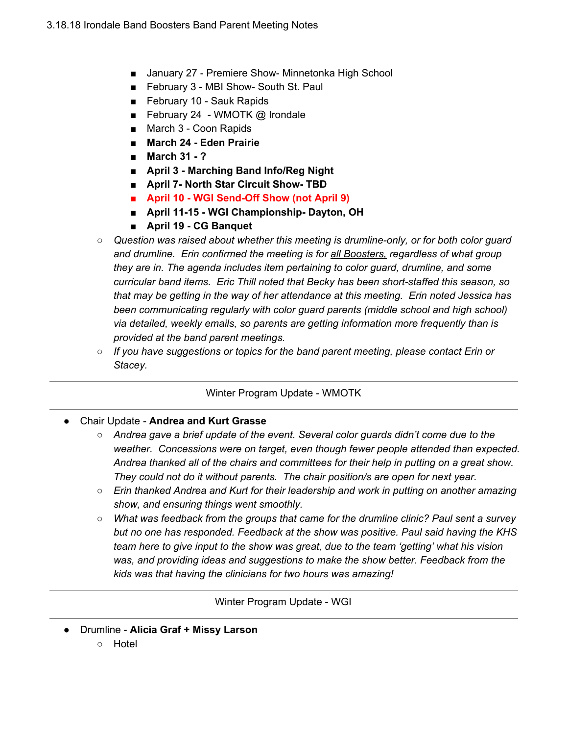- January 27 Premiere Show- Minnetonka High School
- February 3 MBI Show- South St. Paul
- February 10 Sauk Rapids
- February 24 WMOTK @ Irondale
- March 3 Coon Rapids
- **■ March 24 - Eden Prairie**
- **■ March 31 - ?**
- **■ April 3 - Marching Band Info/Reg Night**
- **■ April 7- North Star Circuit Show- TBD**
- **■ April 10 - WGI Send-Off Show (not April 9)**
- **■ April 11-15 - WGI Championship- Dayton, OH**
- **■ April 19 - CG Banquet**
- *○ Question was raised about whether this meeting is drumline-only, or for both color guard and drumline. Erin confirmed the meeting is for all Boosters, regardless of what group they are in. The agenda includes item pertaining to color guard, drumline, and some curricular band items. Eric Thill noted that Becky has been short-staffed this season, so that may be getting in the way of her attendance at this meeting. Erin noted Jessica has been communicating regularly with color guard parents (middle school and high school) via detailed, weekly emails, so parents are getting information more frequently than is provided at the band parent meetings.*
- *○ If you have suggestions or topics for the band parent meeting, please contact Erin or Stacey.*

# Winter Program Update - WMOTK

- Chair Update **Andrea and Kurt Grasse**
	- *○ Andrea gave a brief update of the event. Several color guards didn't come due to the weather. Concessions were on target, even though fewer people attended than expected. Andrea thanked all of the chairs and committees for their help in putting on a great show. They could not do it without parents. The chair position/s are open for next year.*
	- *Erin thanked Andrea and Kurt for their leadership and work in putting on another amazing show, and ensuring things went smoothly.*
	- *What was feedback from the groups that came for the drumline clinic? Paul sent a survey but no one has responded. Feedback at the show was positive. Paul said having the KHS team here to give input to the show was great, due to the team 'getting' what his vision was, and providing ideas and suggestions to make the show better. Feedback from the kids was that having the clinicians for two hours was amazing!*

Winter Program Update - WGI

- Drumline **Alicia Graf + Missy Larson**
	- Hotel